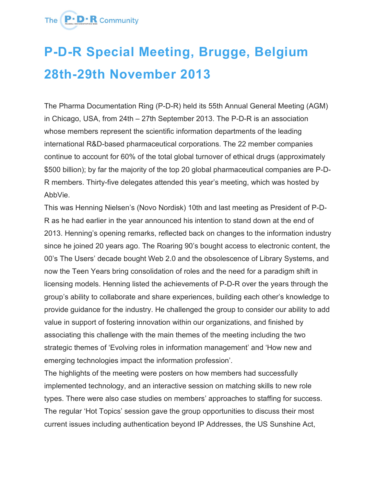### The **P.D.R** Community

# **P-D-R Special Meeting, Brugge, Belgium 28th-29th November 2013**

The Pharma Documentation Ring (P-D-R) held its 55th Annual General Meeting (AGM) in Chicago, USA, from 24th – 27th September 2013. The P-D-R is an association whose members represent the scientific information departments of the leading international R&D-based pharmaceutical corporations. The 22 member companies continue to account for 60% of the total global turnover of ethical drugs (approximately \$500 billion); by far the majority of the top 20 global pharmaceutical companies are P-D-R members. Thirty-five delegates attended this year's meeting, which was hosted by AbbVie.

This was Henning Nielsen's (Novo Nordisk) 10th and last meeting as President of P-D-R as he had earlier in the year announced his intention to stand down at the end of 2013. Henning's opening remarks, reflected back on changes to the information industry since he joined 20 years ago. The Roaring 90's bought access to electronic content, the 00's The Users' decade bought Web 2.0 and the obsolescence of Library Systems, and now the Teen Years bring consolidation of roles and the need for a paradigm shift in licensing models. Henning listed the achievements of P-D-R over the years through the group's ability to collaborate and share experiences, building each other's knowledge to provide guidance for the industry. He challenged the group to consider our ability to add value in support of fostering innovation within our organizations, and finished by associating this challenge with the main themes of the meeting including the two strategic themes of 'Evolving roles in information management' and 'How new and emerging technologies impact the information profession'.

The highlights of the meeting were posters on how members had successfully implemented technology, and an interactive session on matching skills to new role types. There were also case studies on members' approaches to staffing for success. The regular 'Hot Topics' session gave the group opportunities to discuss their most current issues including authentication beyond IP Addresses, the US Sunshine Act,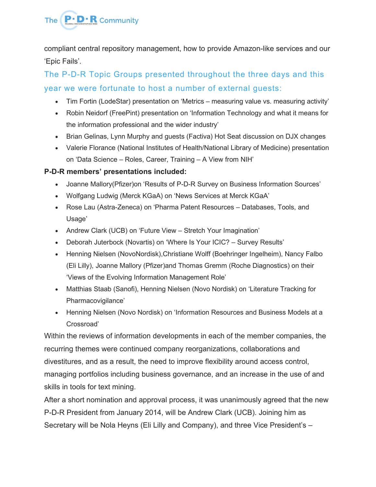# The **P.D.R** Community

compliant central repository management, how to provide Amazon-like services and our 'Epic Fails'.

The P-D-R Topic Groups presented throughout the three days and this year we were fortunate to host a number of external guests:

- Tim Fortin (LodeStar) presentation on 'Metrics measuring value vs. measuring activity'
- Robin Neidorf (FreePint) presentation on 'Information Technology and what it means for the information professional and the wider industry'
- Brian Gelinas, Lynn Murphy and guests (Factiva) Hot Seat discussion on DJX changes
- Valerie Florance (National Institutes of Health/National Library of Medicine) presentation on 'Data Science – Roles, Career, Training – A View from NIH'

#### **P-D-R members' presentations included:**

- Joanne Mallory(Pfizer)on 'Results of P-D-R Survey on Business Information Sources'
- Wolfgang Ludwig (Merck KGaA) on 'News Services at Merck KGaA'
- Rose Lau (Astra-Zeneca) on 'Pharma Patent Resources Databases, Tools, and Usage'
- Andrew Clark (UCB) on 'Future View Stretch Your Imagination'
- Deborah Juterbock (Novartis) on 'Where Is Your ICIC? Survey Results'
- Henning Nielsen (NovoNordisk),Christiane Wolff (Boehringer Ingelheim), Nancy Falbo (Eli Lilly), Joanne Mallory (Pfizer)and Thomas Gremm (Roche Diagnostics) on their 'Views of the Evolving Information Management Role'
- Matthias Staab (Sanofi), Henning Nielsen (Novo Nordisk) on 'Literature Tracking for Pharmacovigilance'
- Henning Nielsen (Novo Nordisk) on 'Information Resources and Business Models at a Crossroad'

Within the reviews of information developments in each of the member companies, the recurring themes were continued company reorganizations, collaborations and divestitures, and as a result, the need to improve flexibility around access control, managing portfolios including business governance, and an increase in the use of and skills in tools for text mining.

After a short nomination and approval process, it was unanimously agreed that the new P-D-R President from January 2014, will be Andrew Clark (UCB). Joining him as Secretary will be Nola Heyns (Eli Lilly and Company), and three Vice President's –